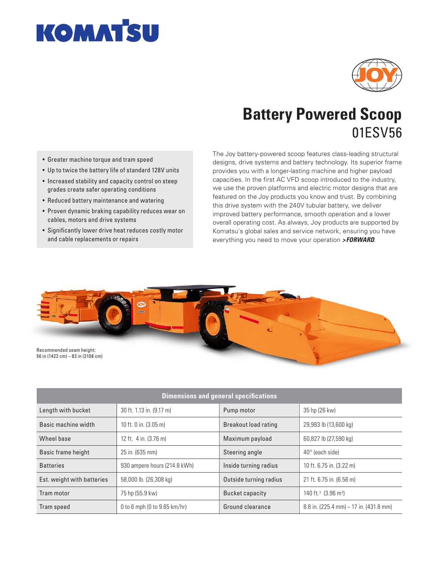



## **Battery Powered Scoop** 01ESV56

- Greater machine torque and tram speed
- Up to twice the battery life of standard 128V units
- Increased stability and capacity control on steep grades create safer operating conditions
- Reduced battery maintenance and watering
- Proven dynamic braking capability reduces wear on cables, motors and drive systems
- Significantly lower drive heat reduces costly motor and cable replacements or repairs

The Joy battery-powered scoop features class-leading structural designs, drive systems and battery technology. Its superior frame provides you with a longer-lasting machine and higher payload capacities. In the first AC VFD scoop introduced to the industry, we use the proven platforms and electric motor designs that are featured on the Joy products you know and trust. By combining this drive system with the 240V tubular battery, we deliver improved battery performance, smooth operation and a lower overall operating cost. As always, Joy products are supported by Komatsu's global sales and service network, ensuring you have everything you need to move your operation *>FORWARD*.



| <b>Dimensions and general specifications</b> |                                |                        |                                             |
|----------------------------------------------|--------------------------------|------------------------|---------------------------------------------|
| Length with bucket                           | 30 ft. 1.13 in. (9.17 m)       | Pump motor             | 35 hp (26 kw)                               |
| Basic machine width                          | 10 ft. 0 in. (3.05 m)          | Breakout load rating   | 29,983 lb (13,600 kg)                       |
| Wheel base                                   | 12 ft. 4 in. (3.76 m)          | Maximum payload        | 60,827 lb (27,590 kg)                       |
| Basic frame height                           | 25 in. (635 mm)                | Steering angle         | $40^{\circ}$ (each side)                    |
| <b>Batteries</b>                             | 930 ampere hours (214.8 kWh)   | Inside turning radius  | 10 ft. 6.75 in. (3.22 m)                    |
| Est. weight with batteries                   | 58,000 lb. (26,308 kg)         | Outside turning radius | 21 ft. 6.75 in. (6.56 m)                    |
| Tram motor                                   | 75 hp (55.9 kw)                | Bucket capacity        | 140 ft. <sup>3</sup> (3.96 m <sup>3</sup> ) |
| Tram speed                                   | 0 to 6 mph (0 to $9.65$ km/hr) | Ground clearance       | $8.8$ in. (225.4 mm) – 17 in. (431.8 mm)    |